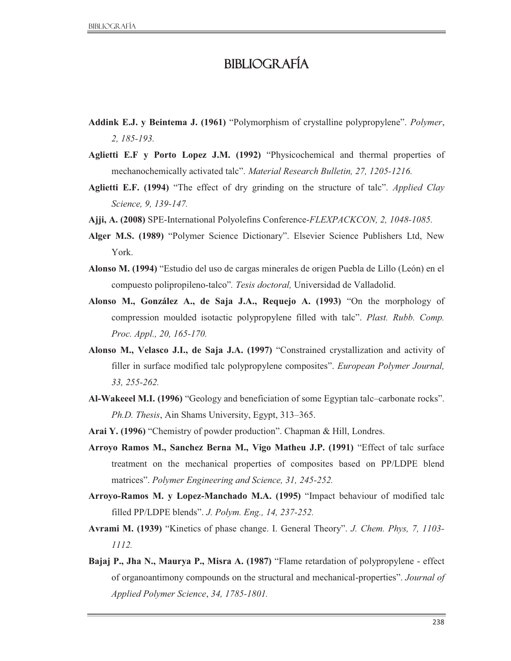## Bibliografía

- **Addink E.J. y Beintema J. (1961)** "Polymorphism of crystalline polypropylene". *Polymer*, *2, 185-193.*
- **Aglietti E.F y Porto Lopez J.M. (1992)** "Physicochemical and thermal properties of mechanochemically activated talc". *Material Research Bulletin, 27, 1205-1216.*
- **Aglietti E.F. (1994)** "The effect of dry grinding on the structure of talc". *Applied Clay Science, 9, 139-147.*
- **Ajji, A. (2008)** SPE-International Polyolefins Conference-*FLEXPACKCON, 2, 1048-1085.*
- **Alger M.S. (1989)** "Polymer Science Dictionary". Elsevier Science Publishers Ltd, New York.
- **Alonso M. (1994)** "Estudio del uso de cargas minerales de origen Puebla de Lillo (León) en el compuesto polipropileno-talco"*. Tesis doctoral,* Universidad de Valladolid.
- **Alonso M., González A., de Saja J.A., Requejo A. (1993)** "On the morphology of compression moulded isotactic polypropylene filled with talc". *Plast. Rubb. Comp. Proc. Appl., 20, 165-170.*
- **Alonso M., Velasco J.I., de Saja J.A. (1997)** "Constrained crystallization and activity of filler in surface modified talc polypropylene composites". *European Polymer Journal, 33, 255-262.*
- **Al-Wakeeel M.I. (1996)** "Geology and beneficiation of some Egyptian talc–carbonate rocks". *Ph.D. Thesis*, Ain Shams University, Egypt, 313–365.
- **Arai Y. (1996)** "Chemistry of powder production". Chapman & Hill, Londres.
- **Arroyo Ramos M., Sanchez Berna M., Vigo Matheu J.P. (1991)** "Effect of talc surface treatment on the mechanical properties of composites based on PP/LDPE blend matrices". *Polymer Engineering and Science, 31, 245-252.*
- **Arroyo-Ramos M. y Lopez-Manchado M.A. (1995)** "Impact behaviour of modified talc filled PP/LDPE blends". *J. Polym. Eng., 14, 237-252.*
- **Avrami M. (1939)** "Kinetics of phase change. I. General Theory". *J. Chem. Phys, 7, 1103- 1112.*
- **Bajaj P., Jha N., Maurya P., Misra A. (1987)** "Flame retardation of polypropylene effect of organoantimony compounds on the structural and mechanical-properties". *Journal of Applied Polymer Science*, *34, 1785-1801.*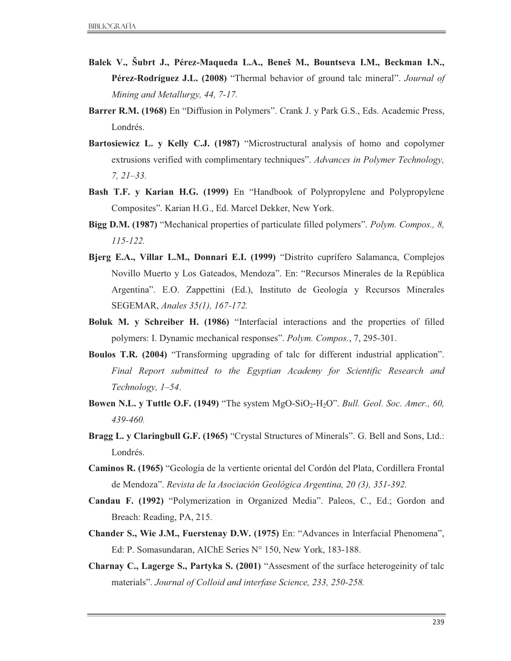- **Balek V., Šubrt J., Pérez-Maqueda L.A., Beneš M., Bountseva I.M., Beckman I.N., Pérez-Rodríguez J.L. (2008)** "Thermal behavior of ground talc mineral". *Journal of Mining and Metallurgy, 44, 7-17.*
- **Barrer R.M. (1968)** En "Diffusion in Polymers". Crank J. y Park G.S., Eds. Academic Press, Londrés.
- **Bartosiewicz L. y Kelly C.J. (1987)** "Microstructural analysis of homo and copolymer extrusions verified with complimentary techniques". *Advances in Polymer Technology, 7, 21–33.*
- **Bash T.F. y Karian H.G. (1999)** En "Handbook of Polypropylene and Polypropylene Composites". Karian H.G., Ed. Marcel Dekker, New York.
- **Bigg D.M. (1987)** "Mechanical properties of particulate filled polymers". *Polym. Compos., 8, 115-122.*
- **Bjerg E.A., Villar L.M., Donnari E.I. (1999)** "Distrito cuprífero Salamanca, Complejos Novillo Muerto y Los Gateados, Mendoza". En: "Recursos Minerales de la República Argentina". E.O. Zappettini (Ed.), Instituto de Geología y Recursos Minerales SEGEMAR, *Anales 35(1), 167-172.*
- **Boluk M. y Schreiber H. (1986)** "Interfacial interactions and the properties of filled polymers: I. Dynamic mechanical responses". *Polym. Compos.*, 7, 295-301.
- **Boulos T.R. (2004)** "Transforming upgrading of talc for different industrial application". *Final Report submitted to the Egyptian Academy for Scientific Research and Technology, 1–54*.
- **Bowen N.L. y Tuttle O.F. (1949)** "The system MgO-SiO<sub>2</sub>-H<sub>2</sub>O". *Bull. Geol. Soc. Amer., 60, 439-460.*
- **Bragg L. y Claringbull G.F. (1965)** "Crystal Structures of Minerals". G. Bell and Sons, Ltd.: Londrés.
- **Caminos R. (1965)** "Geología de la vertiente oriental del Cordón del Plata, Cordillera Frontal de Mendoza". *Revista de la Asociación Geológica Argentina, 20 (3), 351-392.*
- **Candau F. (1992)** "Polymerization in Organized Media". Paleos, C., Ed.; Gordon and Breach: Reading, PA, 215.
- **Chander S., Wie J.M., Fuerstenay D.W. (1975)** En: "Advances in Interfacial Phenomena", Ed: P. Somasundaran, AIChE Series N° 150, New York, 183-188.
- **Charnay C., Lagerge S., Partyka S. (2001)** "Assesment of the surface heterogeinity of talc materials". *Journal of Colloid and interfase Science, 233, 250-258.*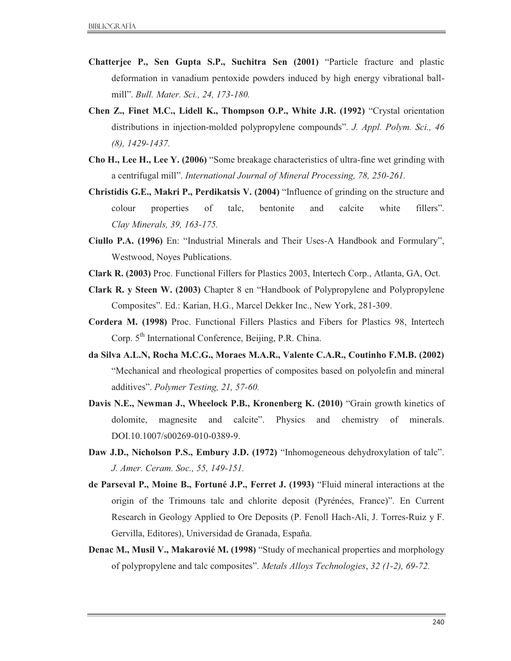- **Chatterjee P., Sen Gupta S.P., Suchitra Sen (2001)** "Particle fracture and plastic deformation in vanadium pentoxide powders induced by high energy vibrational ballmill". *Bull. Mater. Sci., 24, 173-180.*
- **Chen Z., Finet M.C., Lidell K., Thompson O.P., White J.R. (1992)** "Crystal orientation distributions in injection-molded polypropylene compounds". *J. Appl. Polym. Sci., 46 (8), 1429-1437.*
- **Cho H., Lee H., Lee Y. (2006)** "Some breakage characteristics of ultra-fine wet grinding with a centrifugal mill". *International Journal of Mineral Processing, 78, 250-261.*
- **Christidis G.E., Makri P., Perdikatsis V. (2004)** "Influence of grinding on the structure and colour properties of talc, bentonite and calcite white fillers". *Clay Minerals, 39, 163-175.*
- **Ciullo P.A. (1996)** En: "Industrial Minerals and Their Uses-A Handbook and Formulary", Westwood, Noyes Publications.
- **Clark R. (2003)** Proc. Functional Fillers for Plastics 2003, Intertech Corp., Atlanta, GA, Oct.
- **Clark R. y Steen W. (2003)** Chapter 8 en "Handbook of Polypropylene and Polypropylene Composites". Ed.: Karian, H.G., Marcel Dekker Inc., New York, 281-309.
- **Cordera M. (1998)** Proc. Functional Fillers Plastics and Fibers for Plastics 98, Intertech Corp.  $5<sup>th</sup>$  International Conference, Beijing, P.R. China.
- **da Silva A.L.N, Rocha M.C.G., Moraes M.A.R., Valente C.A.R., Coutinho F.M.B. (2002)**  "Mechanical and rheological properties of composites based on polyolefin and mineral additives". *Polymer Testing, 21, 57-60.*
- **Davis N.E., Newman J., Wheelock P.B., Kronenberg K. (2010)** "Grain growth kinetics of dolomite, magnesite and calcite". Physics and chemistry of minerals. DOI.10.1007/s00269-010-0389-9.
- **Daw J.D., Nicholson P.S., Embury J.D. (1972)** "Inhomogeneous dehydroxylation of talc". *J. Amer. Ceram. Soc., 55, 149-151.*
- **de Parseval P., Moine B., Fortuné J.P., Ferret J. (1993)** "Fluid mineral interactions at the origin of the Trimouns talc and chlorite deposit (Pyrénées, France)". En Current Research in Geology Applied to Ore Deposits (P. Fenoll Hach-Ali, J. Torres-Ruiz y F. Gervilla, Editores), Universidad de Granada, España.
- **Denac M., Musil V., Makarovié M. (1998)** "Study of mechanical properties and morphology of polypropylene and talc composites". *Metals Alloys Technologies*, *32 (1-2), 69-72.*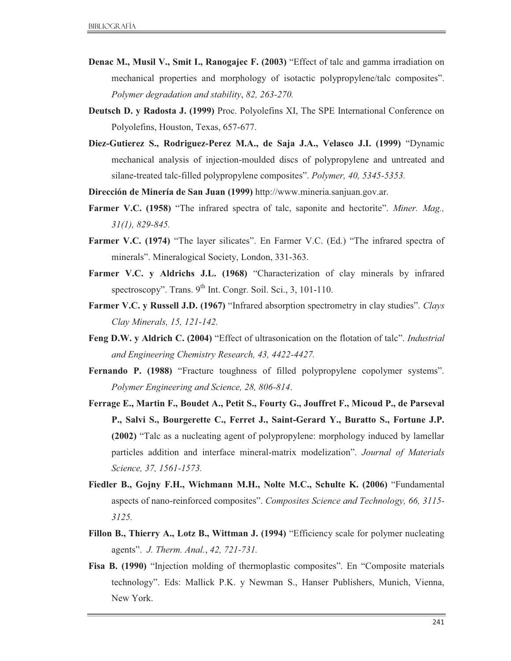- **Denac M., Musil V., Smit I., Ranogajec F. (2003)** "Effect of talc and gamma irradiation on mechanical properties and morphology of isotactic polypropylene/talc composites". *Polymer degradation and stability*, *82, 263-270.*
- **Deutsch D. y Radosta J. (1999)** Proc. Polyolefins XI, The SPE International Conference on Polyolefins, Houston, Texas, 657-677.
- **Diez-Gutierez S., Rodriguez-Perez M.A., de Saja J.A., Velasco J.I. (1999)** "Dynamic mechanical analysis of injection-moulded discs of polypropylene and untreated and silane-treated talc-filled polypropylene composites". *Polymer, 40, 5345-5353.*
- **Dirección de Minería de San Juan (1999)** http://www.mineria.sanjuan.gov.ar.
- **Farmer V.C. (1958)** "The infrared spectra of talc, saponite and hectorite". *Miner. Mag., 31(1), 829-845.*
- Farmer V.C. (1974) "The layer silicates". En Farmer V.C. (Ed.) "The infrared spectra of minerals". Mineralogical Society, London, 331-363.
- **Farmer V.C. y Aldrichs J.L. (1968)** "Characterization of clay minerals by infrared spectroscopy". Trans.  $9^{th}$  Int. Congr. Soil. Sci., 3, 101-110.
- **Farmer V.C. y Russell J.D. (1967)** "Infrared absorption spectrometry in clay studies". *Clays Clay Minerals, 15, 121-142.*
- **Feng D.W. y Aldrich C. (2004)** "Effect of ultrasonication on the flotation of talc". *Industrial and Engineering Chemistry Research, 43, 4422-4427.*
- **Fernando P. (1988)** "Fracture toughness of filled polypropylene copolymer systems". *Polymer Engineering and Science, 28, 806-814*.
- **Ferrage E., Martin F., Boudet A., Petit S., Fourty G., Jouffret F., Micoud P., de Parseval P., Salvi S., Bourgerette C., Ferret J., Saint-Gerard Y., Buratto S., Fortune J.P. (2002)** "Talc as a nucleating agent of polypropylene: morphology induced by lamellar particles addition and interface mineral-matrix modelization". *Journal of Materials Science, 37, 1561-1573.*
- **Fiedler B., Gojny F.H., Wichmann M.H., Nolte M.C., Schulte K. (2006)** "Fundamental aspects of nano-reinforced composites". *Composites Science and Technology, 66, 3115- 3125.*
- **Fillon B., Thierry A., Lotz B., Wittman J. (1994)** "Efficiency scale for polymer nucleating agents". *J. Therm. Anal.*, *42, 721-731.*
- **Fisa B. (1990)** "Injection molding of thermoplastic composites". En "Composite materials technology". Eds: Mallick P.K. y Newman S., Hanser Publishers, Munich, Vienna, New York.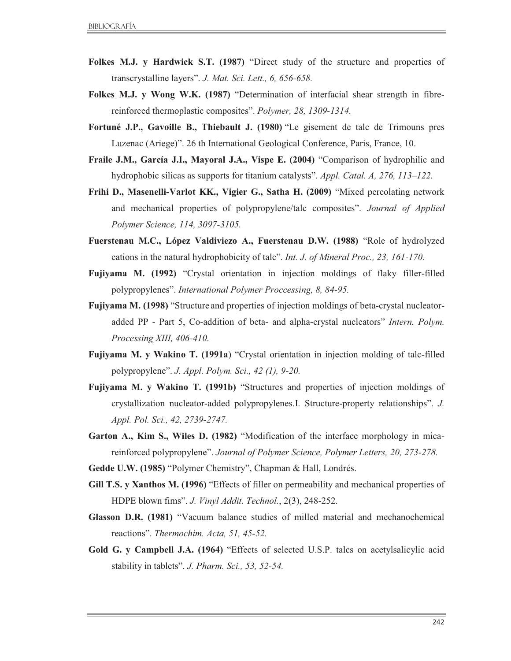- **Folkes M.J. y Hardwick S.T. (1987)** "Direct study of the structure and properties of transcrystalline layers". *J. Mat. Sci. Lett., 6, 656-658.*
- **Folkes M.J. y Wong W.K. (1987)** "Determination of interfacial shear strength in fibrereinforced thermoplastic composites". *Polymer, 28, 1309-1314.*
- **Fortuné J.P., Gavoille B., Thiebault J. (1980)** "Le gisement de talc de Trimouns pres Luzenac (Ariege)". 26 th International Geological Conference, Paris, France, 10.
- **Fraile J.M., García J.I., Mayoral J.A., Vispe E. (2004)** "Comparison of hydrophilic and hydrophobic silicas as supports for titanium catalysts". *Appl. Catal. A, 276, 113–122.*
- **Frihi D., Masenelli-Varlot KK., Vigier G., Satha H. (2009)** "Mixed percolating network and mechanical properties of polypropylene/talc composites". *Journal of Applied Polymer Science, 114, 3097-3105.*
- **Fuerstenau M.C., López Valdiviezo A., Fuerstenau D.W. (1988)** "Role of hydrolyzed cations in the natural hydrophobicity of talc". *Int. J. of Mineral Proc., 23, 161-170.*
- **Fujiyama M. (1992)** "Crystal orientation in injection moldings of flaky filler-filled polypropylenes". *International Polymer Proccessing, 8, 84-95.*
- **Fujiyama M. (1998)** "Structure and properties of injection moldings of beta-crystal nucleatoradded PP - Part 5, Co-addition of beta- and alpha-crystal nucleators" *Intern. Polym. Processing XIII, 406-410.*
- **Fujiyama M. y Wakino T. (1991a**) "Crystal orientation in injection molding of talc-filled polypropylene". *J. Appl. Polym. Sci., 42 (1), 9-20.*
- **Fujiyama M. y Wakino T. (1991b)** "Structures and properties of injection moldings of crystallization nucleator-added polypropylenes.I. Structure-property relationships". *J. Appl. Pol. Sci., 42, 2739-2747.*
- **Garton A., Kim S., Wiles D. (1982)** "Modification of the interface morphology in micareinforced polypropylene". *Journal of Polymer Science, Polymer Letters, 20, 273-278.*
- **Gedde U.W. (1985)** "Polymer Chemistry", Chapman & Hall, Londrés.
- **Gill T.S. y Xanthos M. (1996)** "Effects of filler on permeability and mechanical properties of HDPE blown fims". *J. Vinyl Addit. Technol.*, 2(3), 248-252.
- **Glasson D.R. (1981)** "Vacuum balance studies of milled material and mechanochemical reactions". *Thermochim. Acta, 51, 45-52.*
- **Gold G. y Campbell J.A. (1964)** "Effects of selected U.S.P. talcs on acetylsalicylic acid stability in tablets". *J. Pharm. Sci., 53, 52-54.*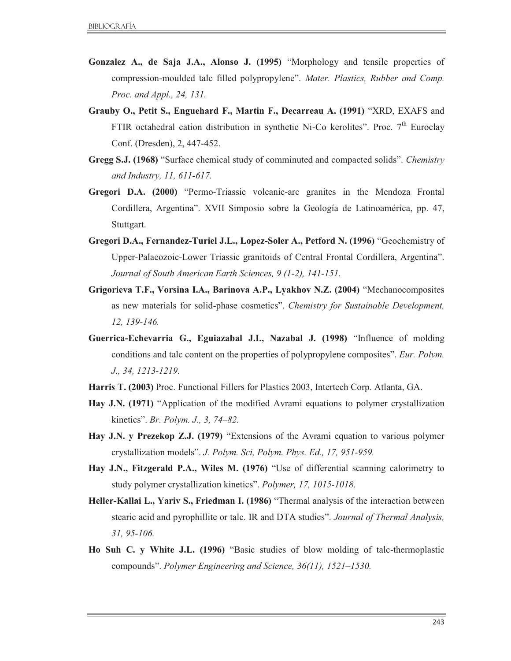- **Gonzalez A., de Saja J.A., Alonso J. (1995)** "Morphology and tensile properties of compression-moulded talc filled polypropylene". *Mater. Plastics, Rubber and Comp. Proc. and Appl., 24, 131.*
- **Grauby O., Petit S., Enguehard F., Martin F., Decarreau A. (1991)** "XRD, EXAFS and FTIR octahedral cation distribution in synthetic Ni-Co kerolites". Proc.  $7<sup>th</sup>$  Euroclay Conf. (Dresden), 2, 447-452.
- **Gregg S.J. (1968)** "Surface chemical study of comminuted and compacted solids". *Chemistry and Industry, 11, 611-617.*
- **Gregori D.A. (2000)** "Permo-Triassic volcanic-arc granites in the Mendoza Frontal Cordillera, Argentina". XVII Simposio sobre la Geología de Latinoamérica, pp. 47, Stuttgart.
- **Gregori D.A., Fernandez-Turiel J.L., Lopez-Soler A., Petford N. (1996)** "Geochemistry of Upper-Palaeozoic-Lower Triassic granitoids of Central Frontal Cordillera, Argentina". *Journal of South American Earth Sciences, 9 (1-2), 141-151.*
- **Grigorieva T.F., Vorsina I.A., Barinova A.P., Lyakhov N.Z. (2004)** "Mechanocomposites as new materials for solid-phase cosmetics". *Chemistry for Sustainable Development, 12, 139-146.*
- **Guerrica-Echevarria G., Eguiazabal J.I., Nazabal J. (1998)** "Influence of molding conditions and talc content on the properties of polypropylene composites". *Eur. Polym. J., 34, 1213-1219.*
- **Harris T. (2003)** Proc. Functional Fillers for Plastics 2003, Intertech Corp. Atlanta, GA.
- **Hay J.N. (1971)** "Application of the modified Avrami equations to polymer crystallization kinetics". *Br. Polym. J., 3, 74–82.*
- **Hay J.N. y Prezekop Z.J. (1979)** "Extensions of the Avrami equation to various polymer crystallization models". *J. Polym. Sci, Polym. Phys. Ed., 17, 951-959.*
- **Hay J.N., Fitzgerald P.A., Wiles M. (1976)** "Use of differential scanning calorimetry to study polymer crystallization kinetics". *Polymer, 17, 1015-1018.*
- **Heller-Kallai L., Yariv S., Friedman I. (1986)** "Thermal analysis of the interaction between stearic acid and pyrophillite or talc. IR and DTA studies". *Journal of Thermal Analysis, 31, 95-106.*
- **Ho Suh C. y White J.L. (1996)** "Basic studies of blow molding of talc-thermoplastic compounds". *Polymer Engineering and Science, 36(11), 1521–1530.*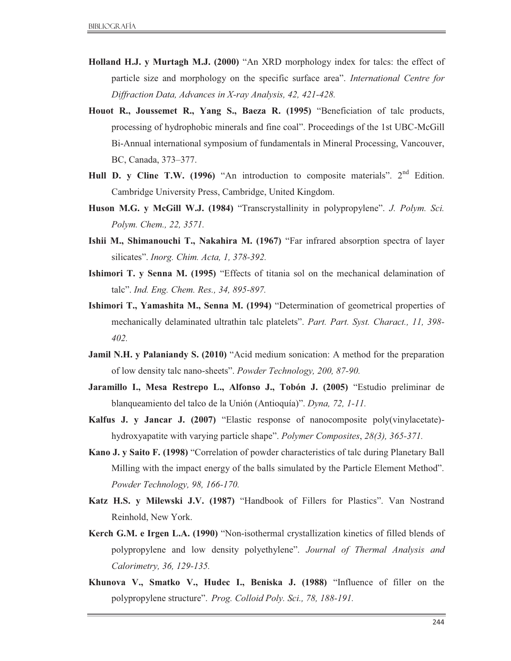- **Holland H.J. y Murtagh M.J. (2000)** "An XRD morphology index for talcs: the effect of particle size and morphology on the specific surface area". *International Centre for Diffraction Data, Advances in X-ray Analysis, 42, 421-428.*
- **Houot R., Joussemet R., Yang S., Baeza R. (1995)** "Beneficiation of talc products, processing of hydrophobic minerals and fine coal". Proceedings of the 1st UBC-McGill Bi-Annual international symposium of fundamentals in Mineral Processing, Vancouver, BC, Canada, 373–377.
- **Hull D. y Cline T.W.** (1996) "An introduction to composite materials". 2<sup>nd</sup> Edition. Cambridge University Press, Cambridge, United Kingdom.
- **Huson M.G. y McGill W.J. (1984)** "Transcrystallinity in polypropylene". *J. Polym. Sci. Polym. Chem., 22, 3571.*
- **Ishii M., Shimanouchi T., Nakahira M. (1967)** "Far infrared absorption spectra of layer silicates". *Inorg. Chim. Acta, 1, 378-392.*
- **Ishimori T. y Senna M. (1995)** "Effects of titania sol on the mechanical delamination of talc". *Ind. Eng. Chem. Res., 34, 895-897.*
- **Ishimori T., Yamashita M., Senna M. (1994)** "Determination of geometrical properties of mechanically delaminated ultrathin talc platelets". *Part. Part. Syst. Charact., 11, 398- 402.*
- **Jamil N.H. y Palaniandy S. (2010)** "Acid medium sonication: A method for the preparation of low density talc nano-sheets". *Powder Technology, 200, 87-90.*
- **Jaramillo I., Mesa Restrepo L., Alfonso J., Tobón J. (2005)** "Estudio preliminar de blanqueamiento del talco de la Unión (Antioquía)". *Dyna, 72, 1-11.*
- **Kalfus J. y Jancar J. (2007)** "Elastic response of nanocomposite poly(vinylacetate) hydroxyapatite with varying particle shape". *Polymer Composites*, *28(3), 365-371.*
- **Kano J. y Saito F. (1998)** "Correlation of powder characteristics of talc during Planetary Ball Milling with the impact energy of the balls simulated by the Particle Element Method". *Powder Technology, 98, 166-170.*
- **Katz H.S. y Milewski J.V. (1987)** "Handbook of Fillers for Plastics". Van Nostrand Reinhold, New York.
- **Kerch G.M. e Irgen L.A. (1990)** "Non-isothermal crystallization kinetics of filled blends of polypropylene and low density polyethylene". *Journal of Thermal Analysis and Calorimetry, 36, 129-135.*
- **Khunova V., Smatko V., Hudec I., Beniska J. (1988)** "Influence of filler on the polypropylene structure". *Prog. Colloid Poly. Sci., 78, 188-191.*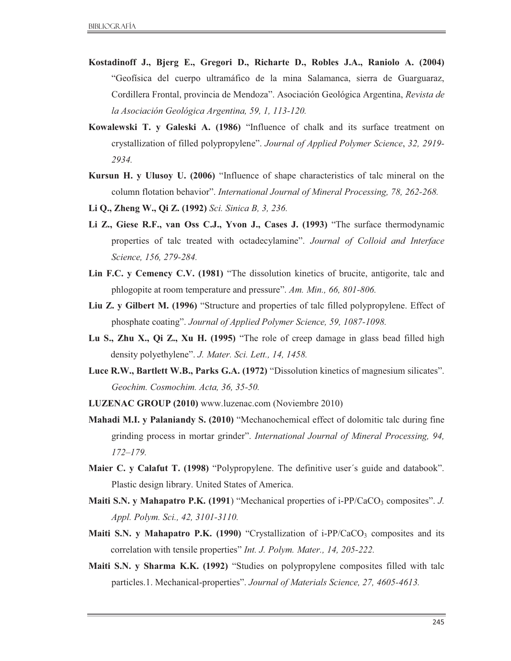- **Kostadinoff J., Bjerg E., Gregori D., Richarte D., Robles J.A., Raniolo A. (2004)**  "Geofísica del cuerpo ultramáfico de la mina Salamanca, sierra de Guarguaraz, Cordillera Frontal, provincia de Mendoza". Asociación Geológica Argentina, *Revista de la Asociación Geológica Argentina, 59, 1, 113-120.*
- **Kowalewski T. y Galeski A. (1986)** "Influence of chalk and its surface treatment on crystallization of filled polypropylene". *Journal of Applied Polymer Science*, *32, 2919- 2934.*
- **Kursun H. y Ulusoy U. (2006)** "Influence of shape characteristics of talc mineral on the column flotation behavior". *International Journal of Mineral Processing, 78, 262-268.*
- **Li Q., Zheng W., Qi Z. (1992)** *Sci. Sinica B, 3, 236.*
- **Li Z., Giese R.F., van Oss C.J., Yvon J., Cases J. (1993)** "The surface thermodynamic properties of talc treated with octadecylamine". *Journal of Colloid and Interface Science, 156, 279-284.*
- **Lin F.C. y Cemency C.V. (1981)** "The dissolution kinetics of brucite, antigorite, talc and phlogopite at room temperature and pressure". *Am. Min., 66, 801-806.*
- **Liu Z. y Gilbert M. (1996)** "Structure and properties of talc filled polypropylene. Effect of phosphate coating". *Journal of Applied Polymer Science, 59, 1087-1098.*
- **Lu S., Zhu X., Qi Z., Xu H. (1995)** "The role of creep damage in glass bead filled high density polyethylene". *J. Mater. Sci. Lett., 14, 1458.*
- **Luce R.W., Bartlett W.B., Parks G.A. (1972)** "Dissolution kinetics of magnesium silicates". *Geochim. Cosmochim. Acta, 36, 35-50.*
- **LUZENAC GROUP (2010)** www.luzenac.com (Noviembre 2010)
- **Mahadi M.I. y Palaniandy S. (2010)** "Mechanochemical effect of dolomitic talc during fine grinding process in mortar grinder". *International Journal of Mineral Processing, 94, 172–179.*
- **Maier C. y Calafut T. (1998)** "Polypropylene. The definitive user´s guide and databook". Plastic design library. United States of America.
- **Maiti S.N. y Mahapatro P.K. (1991)** "Mechanical properties of i-PP/CaCO<sub>3</sub> composites". *J. Appl. Polym. Sci., 42, 3101-3110.*
- **Maiti S.N. y Mahapatro P.K. (1990)** "Crystallization of  $i$ -PP/CaCO<sub>3</sub> composites and its correlation with tensile properties" *Int. J. Polym. Mater., 14, 205-222.*
- **Maiti S.N. y Sharma K.K. (1992)** "Studies on polypropylene composites filled with talc particles.1. Mechanical-properties". *Journal of Materials Science, 27, 4605-4613.*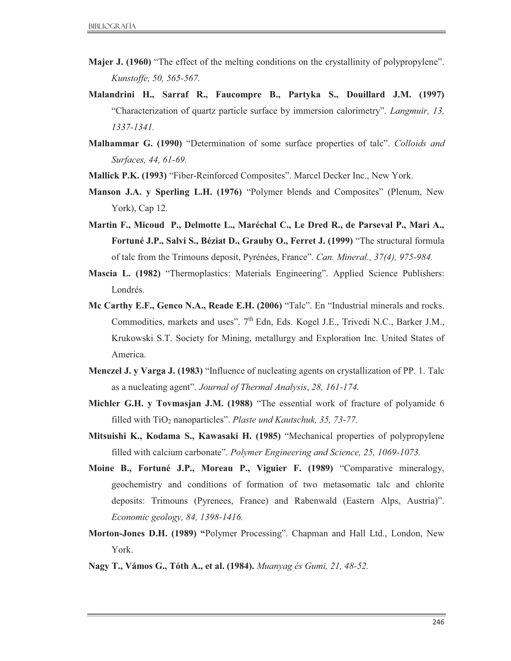- **Majer J. (1960)** "The effect of the melting conditions on the crystallinity of polypropylene". *Kunstoffe, 50, 565-567.*
- **Malandrini H., Sarraf R., Faucompre B., Partyka S., Douillard J.M. (1997)** "Characterization of quartz particle surface by immersion calorimetry". *Langmuir, 13, 1337-1341.*
- **Malhammar G. (1990)** "Determination of some surface properties of talc". *Colloids and Surfaces, 44, 61-69.*
- **Mallick P.K. (1993)** "Fiber-Reinforced Composites". Marcel Decker Inc., New York.
- **Manson J.A. y Sperling L.H. (1976)** "Polymer blends and Composites" (Plenum, New York), Cap 12.
- **Martin F., Micoud P., Delmotte L., Maréchal C., Le Dred R., de Parseval P., Mari A., Fortuné J.P., Salvi S., Béziat D., Grauby O., Ferret J. (1999)** "The structural formula of talc from the Trimouns deposit, Pyrénées, France". *Can. Mineral., 37(4), 975-984.*
- **Mascia L. (1982)** "Thermoplastics: Materials Engineering". Applied Science Publishers: Londrés.
- **Mc Carthy E.F., Genco N.A., Reade E.H. (2006)** "Talc". En "Industrial minerals and rocks. Commodities, markets and uses". 7<sup>th</sup> Edn, Eds. Kogel J.E., Trivedi N.C., Barker J.M., Krukowski S.T. Society for Mining, metallurgy and Exploration Inc. United States of America.
- **Menczel J. y Varga J. (1983)** "Influence of nucleating agents on crystallization of PP. 1. Talc as a nucleating agent". *Journal of Thermal Analysis*, *28, 161-174.*
- **Michler G.H. y Tovmasjan J.M. (1988)** "The essential work of fracture of polyamide 6 filled with TiO<sub>2</sub> nanoparticles". *Plaste und Kautschuk*, 35, 73-77.
- **Mitsuishi K., Kodama S., Kawasaki H. (1985)** "Mechanical properties of polypropylene filled with calcium carbonate". *Polymer Engineering and Science, 25, 1069-1073.*
- **Moine B., Fortuné J.P., Moreau P., Viguier F. (1989)** "Comparative mineralogy, geochemistry and conditions of formation of two metasomatic talc and chlorite deposits: Trimouns (Pyrenees, France) and Rabenwald (Eastern Alps, Austria)". *Economic geology, 84, 1398-1416.*
- **Morton-Jones D.H. (1989) "**Polymer Processing". Chapman and Hall Ltd., London, New York.
- **Nagy T., Vámos G., Tóth A., et al. (1984).** *Muanyag és Gumi, 21, 48-52.*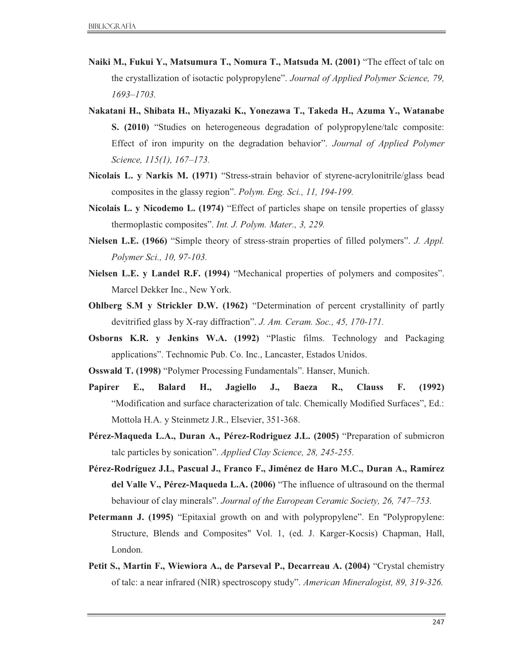- **Naiki M., Fukui Y., Matsumura T., Nomura T., Matsuda M. (2001)** "The effect of talc on the crystallization of isotactic polypropylene". *Journal of Applied Polymer Science, 79, 1693–1703.*
- **Nakatani H., Shibata H., Miyazaki K., Yonezawa T., Takeda H., Azuma Y., Watanabe S. (2010)** "Studies on heterogeneous degradation of polypropylene/talc composite: Effect of iron impurity on the degradation behavior". *Journal of Applied Polymer Science, 115(1), 167–173.*
- **Nicolais L. y Narkis M. (1971)** "Stress-strain behavior of styrene-acrylonitrile/glass bead composites in the glassy region". *Polym. Eng. Sci., 11, 194-199.*
- **Nicolais L. y Nicodemo L. (1974)** "Effect of particles shape on tensile properties of glassy thermoplastic composites". *Int. J. Polym. Mater., 3, 229.*
- **Nielsen L.E. (1966)** "Simple theory of stress-strain properties of filled polymers". *J. Appl. Polymer Sci., 10, 97-103.*
- **Nielsen L.E. y Landel R.F. (1994)** "Mechanical properties of polymers and composites". Marcel Dekker Inc., New York.
- **Ohlberg S.M y Strickler D.W. (1962)** "Determination of percent crystallinity of partly devitrified glass by X-ray diffraction". *J. Am. Ceram. Soc., 45, 170-171.*
- **Osborns K.R. y Jenkins W.A. (1992)** "Plastic films. Technology and Packaging applications". Technomic Pub. Co. Inc., Lancaster, Estados Unidos.
- **Osswald T. (1998)** "Polymer Processing Fundamentals". Hanser, Munich.
- **Papirer E., Balard H., Jagiello J., Baeza R., Clauss F. (1992)**  "Modification and surface characterization of talc. Chemically Modified Surfaces", Ed.: Mottola H.A. y Steinmetz J.R., Elsevier, 351-368.
- **Pérez-Maqueda L.A., Duran A., Pérez-Rodriguez J.L. (2005)** "Preparation of submicron talc particles by sonication". *Applied Clay Science, 28, 245-255.*
- **Pérez-Rodríguez J.L, Pascual J., Franco F., Jiménez de Haro M.C., Duran A., Ramírez del Valle V., Pérez-Maqueda L.A. (2006)** "The influence of ultrasound on the thermal behaviour of clay minerals". *Journal of the European Ceramic Society, 26, 747–753.*
- **Petermann J. (1995)** "Epitaxial growth on and with polypropylene". En "Polypropylene: Structure, Blends and Composites" Vol. 1, (ed. J. Karger-Kocsis) Chapman, Hall, London.
- **Petit S., Martin F., Wiewiora A., de Parseval P., Decarreau A. (2004)** "Crystal chemistry of talc: a near infrared (NIR) spectroscopy study". *American Mineralogist, 89, 319-326.*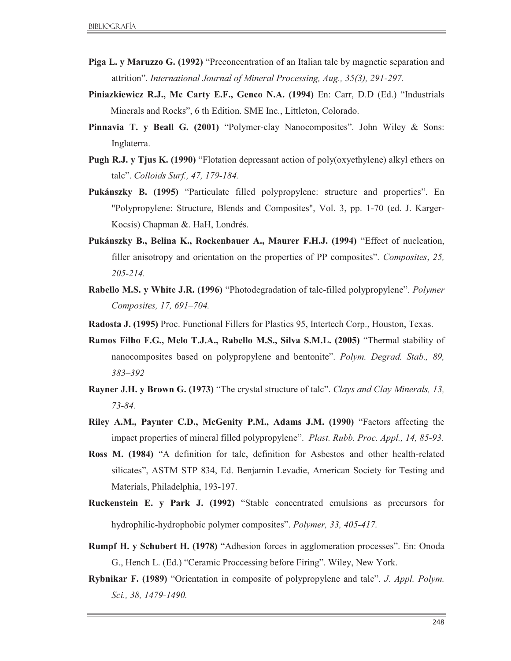- **Piga L. y Maruzzo G. (1992)** "Preconcentration of an Italian talc by magnetic separation and attrition". *International Journal of Mineral Processing, Aug., 35(3), 291-297.*
- **Piniazkiewicz R.J., Mc Carty E.F., Genco N.A. (1994)** En: Carr, D.D (Ed.) "Industrials Minerals and Rocks", 6 th Edition. SME Inc., Littleton, Colorado.
- **Pinnavia T. y Beall G. (2001)** "Polymer-clay Nanocomposites". John Wiley & Sons: Inglaterra.
- **Pugh R.J. y Tjus K. (1990)** "Flotation depressant action of poly(oxyethylene) alkyl ethers on talc". *Colloids Surf., 47, 179-184.*
- **Pukánszky B. (1995)** "Particulate filled polypropylene: structure and properties". En "Polypropylene: Structure, Blends and Composites", Vol. 3, pp. 1-70 (ed. J. Karger-Kocsis) Chapman &. HaH, Londrés.
- **Pukánszky B., Belina K., Rockenbauer A., Maurer F.H.J. (1994)** "Effect of nucleation, filler anisotropy and orientation on the properties of PP composites". *Composites*, *25, 205-214.*
- **Rabello M.S. y White J.R. (1996)** "Photodegradation of talc-filled polypropylene". *Polymer Composites, 17, 691–704.*
- **Radosta J. (1995)** Proc. Functional Fillers for Plastics 95, Intertech Corp., Houston, Texas.
- **Ramos Filho F.G., Melo T.J.A., Rabello M.S., Silva S.M.L. (2005)** "Thermal stability of nanocomposites based on polypropylene and bentonite". *Polym. Degrad. Stab., 89, 383–392*
- **Rayner J.H. y Brown G. (1973)** "The crystal structure of talc". *Clays and Clay Minerals, 13, 73-84.*
- **Riley A.M., Paynter C.D., McGenity P.M., Adams J.M. (1990)** "Factors affecting the impact properties of mineral filled polypropylene". *Plast. Rubb. Proc. Appl., 14, 85-93.*
- **Ross M. (1984)** "A definition for talc, definition for Asbestos and other health-related silicates", ASTM STP 834, Ed. Benjamin Levadie, American Society for Testing and Materials, Philadelphia, 193-197.
- **Ruckenstein E. y Park J. (1992)** "Stable concentrated emulsions as precursors for hydrophilic-hydrophobic polymer composites". *Polymer, 33, 405-417.*
- **Rumpf H. y Schubert H. (1978)** "Adhesion forces in agglomeration processes". En: Onoda G., Hench L. (Ed.) "Ceramic Proccessing before Firing". Wiley, New York.
- **Rybnikar F. (1989)** "Orientation in composite of polypropylene and talc". *J. Appl. Polym. Sci., 38, 1479-1490.*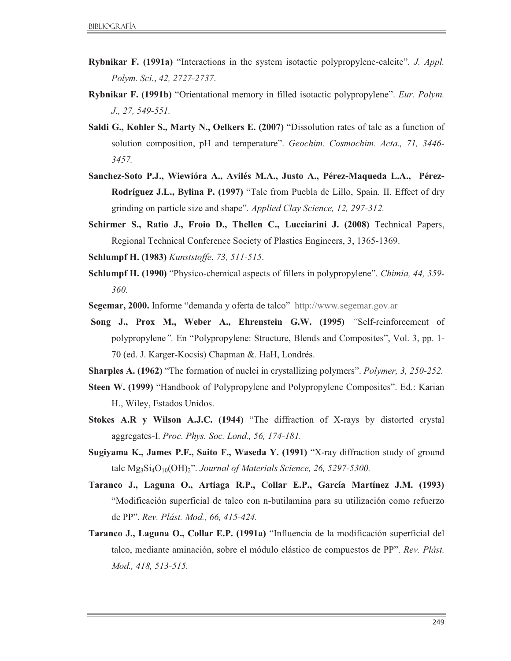- **Rybnikar F. (1991a)** "Interactions in the system isotactic polypropylene-calcite". *J. Appl. Polym. Sci.*, *42, 2727-2737*.
- **Rybnikar F. (1991b)** "Orientational memory in filled isotactic polypropylene". *Eur. Polym. J., 27, 549-551.*
- **Saldi G., Kohler S., Marty N., Oelkers E. (2007)** "Dissolution rates of talc as a function of solution composition, pH and temperature". *Geochim. Cosmochim. Acta., 71, 3446- 3457.*
- **Sanchez-Soto P.J., Wiewióra A., Avilés M.A., Justo A., Pérez-Maqueda L.A., Pérez-Rodríguez J.L., Bylina P. (1997)** "Talc from Puebla de Lillo, Spain. II. Effect of dry grinding on particle size and shape". *Applied Clay Science, 12, 297-312.*
- **Schirmer S., Ratio J., Froio D., Thellen C., Lucciarini J. (2008)** Technical Papers, Regional Technical Conference Society of Plastics Engineers, 3, 1365-1369.
- **Schlumpf H. (1983)** *Kunststoffe*, *73, 511-515*.
- **Schlumpf H. (1990)** "Physico-chemical aspects of fillers in polypropylene". *Chimia, 44, 359- 360.*
- **Segemar, 2000.** Informe "demanda y oferta de talco"http://www.segemar.gov.ar
- **Song J., Prox M., Weber A., Ehrenstein G.W. (1995)** *"*Self-reinforcement of polypropylene*".* En "Polypropylene: Structure, Blends and Composites", Vol. 3, pp. 1- 70 (ed. J. Karger-Kocsis) Chapman &. HaH, Londrés.

**Sharples A. (1962)** "The formation of nuclei in crystallizing polymers". *Polymer, 3, 250-252.*

- **Steen W. (1999)** "Handbook of Polypropylene and Polypropylene Composites". Ed.: Karian H., Wiley, Estados Unidos.
- **Stokes A.R y Wilson A.J.C. (1944)** "The diffraction of X-rays by distorted crystal aggregates-I. *Proc. Phys. Soc. Lond., 56, 174-181.*
- **Sugiyama K., James P.F., Saito F., Waseda Y. (1991)** "X-ray diffraction study of ground talc Mg<sub>3</sub>Si<sub>4</sub>O<sub>10</sub>(OH)<sub>2</sub>". *Journal of Materials Science, 26, 5297-5300.*
- **Taranco J., Laguna O., Artiaga R.P., Collar E.P., García Martínez J.M. (1993)**  "Modificación superficial de talco con n-butilamina para su utilización como refuerzo de PP". *Rev. Plást. Mod., 66, 415-424.*
- **Taranco J., Laguna O., Collar E.P. (1991a)** "Influencia de la modificación superficial del talco, mediante aminación, sobre el módulo elástico de compuestos de PP". *Rev. Plást. Mod., 418, 513-515.*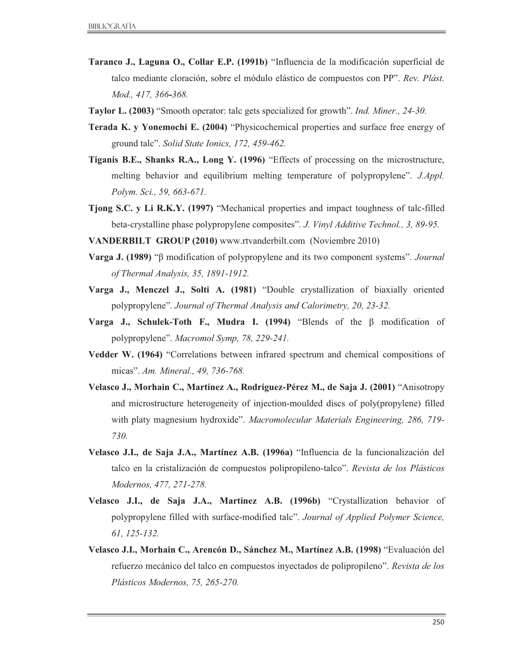- **Taranco J., Laguna O., Collar E.P. (1991b)** "Influencia de la modificación superficial de talco mediante cloración, sobre el módulo elástico de compuestos con PP". *Rev. Plást. Mod., 417, 366-368.*
- **Taylor L. (2003)** "Smooth operator: talc gets specialized for growth". *Ind. Miner., 24-30.*
- **Terada K. y Yonemochi E. (2004)** "Physicochemical properties and surface free energy of ground talc". *Solid State Ionics, 172, 459-462.*
- **Tiganis B.E., Shanks R.A., Long Y. (1996)** "Effects of processing on the microstructure, melting behavior and equilibrium melting temperature of polypropylene". *J.Appl. Polym. Sci., 59, 663-671.*
- **Tjong S.C. y Li R.K.Y. (1997)** "Mechanical properties and impact toughness of talc-filled beta-crystalline phase polypropylene composites". *J. Vinyl Additive Technol., 3, 89-95.*
- **VANDERBILT GROUP (2010)** www.rtvanderbilt.com (Noviembre 2010)
- **Varga J. (1989)** "β modification of polypropylene and its two component systems". *Journal of Thermal Analysis, 35, 1891-1912.*
- **Varga J., Menczel J., Solti A. (1981)** "Double crystallization of biaxially oriented polypropylene". *Journal of Thermal Analysis and Calorimetry, 20, 23-32.*
- **Varga J., Schulek-Toth F., Mudra I. (1994)** "Blends of the β modification of polypropylene". *Macromol Symp, 78, 229-241.*
- **Vedder W. (1964)** "Correlations between infrared spectrum and chemical compositions of micas". *Am. Mineral., 49, 736-768.*
- **Velasco J., Morhain C., Martínez A., Rodríguez-Pérez M., de Saja J. (2001)** "Anisotropy and microstructure heterogeneity of injection-moulded discs of poly(propylene) filled with platy magnesium hydroxide". *Macromolecular Materials Engineering, 286, 719- 730.*
- **Velasco J.I., de Saja J.A., Martínez A.B. (1996a)** "Influencia de la funcionalización del talco en la cristalización de compuestos polipropileno-talco". *Revista de los Plásticos Modernos, 477, 271-278.*
- **Velasco J.I., de Saja J.A., Martinez A.B. (1996b)** "Crystallization behavior of polypropylene filled with surface-modified talc". *Journal of Applied Polymer Science, 61, 125-132.*
- **Velasco J.I., Morhain C., Arencón D., Sánchez M., Martínez A.B. (1998)** "Evaluación del refuerzo mecánico del talco en compuestos inyectados de polipropileno". *Revista de los Plásticos Modernos, 75, 265-270.*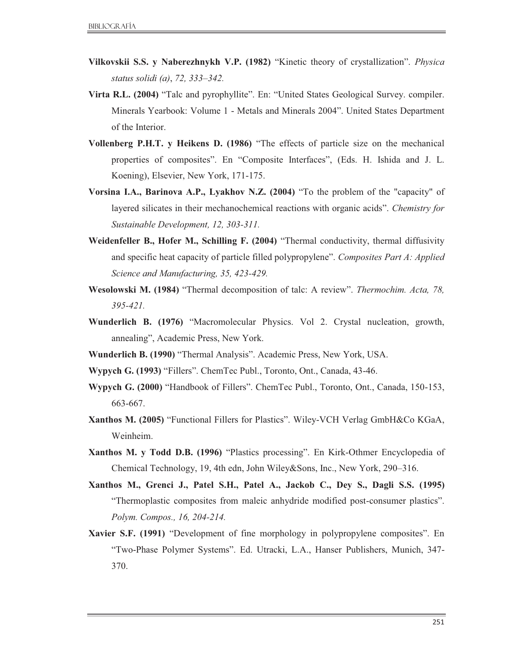- **Vilkovskii S.S. y Naberezhnykh V.P. (1982)** "Kinetic theory of crystallization". *Physica status solidi (a)*, *72, 333–342.*
- **Virta R.L. (2004)** "Talc and pyrophyllite". En: "United States Geological Survey. compiler. Minerals Yearbook: Volume 1 - Metals and Minerals 2004". United States Department of the Interior.
- **Vollenberg P.H.T. y Heikens D. (1986)** "The effects of particle size on the mechanical properties of composites". En "Composite Interfaces", (Eds. H. Ishida and J. L. Koening), Elsevier, New York, 171-175.
- **Vorsina I.A., Barinova A.P., Lyakhov N.Z. (2004)** "To the problem of the "capacity" of layered silicates in their mechanochemical reactions with organic acids". *Chemistry for Sustainable Development, 12, 303-311.*
- **Weidenfeller B., Hofer M., Schilling F. (2004)** "Thermal conductivity, thermal diffusivity and specific heat capacity of particle filled polypropylene". *Composites Part A: Applied Science and Manufacturing, 35, 423-429.*
- **Wesolowski M. (1984)** "Thermal decomposition of talc: A review". *Thermochim. Acta, 78, 395-421.*
- **Wunderlich B. (1976)** "Macromolecular Physics. Vol 2. Crystal nucleation, growth, annealing", Academic Press, New York.
- **Wunderlich B. (1990)** "Thermal Analysis". Academic Press, New York, USA.
- **Wypych G. (1993)** "Fillers". ChemTec Publ., Toronto, Ont., Canada, 43-46.
- **Wypych G. (2000)** "Handbook of Fillers". ChemTec Publ., Toronto, Ont., Canada, 150-153, 663-667.
- **Xanthos M. (2005)** "Functional Fillers for Plastics". Wiley-VCH Verlag GmbH&Co KGaA, Weinheim.
- **Xanthos M. y Todd D.B. (1996)** "Plastics processing". En Kirk-Othmer Encyclopedia of Chemical Technology, 19, 4th edn, John Wiley&Sons, Inc., New York, 290–316.
- **Xanthos M., Grenci J., Patel S.H., Patel A., Jackob C., Dey S., Dagli S.S. (1995)**  "Thermoplastic composites from maleic anhydride modified post-consumer plastics". *Polym. Compos., 16, 204-214.*
- **Xavier S.F. (1991)** "Development of fine morphology in polypropylene composites". En "Two-Phase Polymer Systems". Ed. Utracki, L.A., Hanser Publishers, Munich, 347- 370.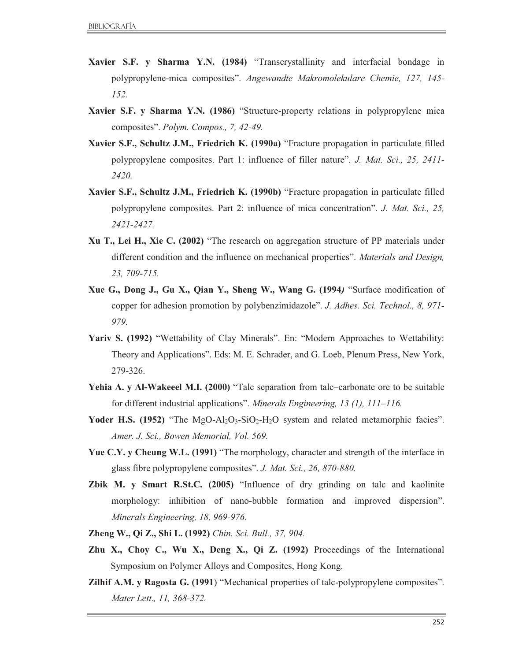- **Xavier S.F. y Sharma Y.N. (1984)** "Transcrystallinity and interfacial bondage in polypropylene-mica composites". *Angewandte Makromolekulare Chemie, 127, 145- 152.*
- **Xavier S.F. y Sharma Y.N. (1986)** "Structure-property relations in polypropylene mica composites". *Polym. Compos., 7, 42-49.*
- **Xavier S.F., Schultz J.M., Friedrich K. (1990a)** "Fracture propagation in particulate filled polypropylene composites. Part 1: influence of filler nature". *J. Mat. Sci., 25, 2411- 2420.*
- **Xavier S.F., Schultz J.M., Friedrich K. (1990b)** "Fracture propagation in particulate filled polypropylene composites. Part 2: influence of mica concentration". *J. Mat. Sci., 25, 2421-2427.*
- **Xu T., Lei H., Xie C. (2002)** "The research on aggregation structure of PP materials under different condition and the influence on mechanical properties". *Materials and Design, 23, 709-715.*
- **Xue G., Dong J., Gu X., Qian Y., Sheng W., Wang G. (1994***)* "Surface modification of copper for adhesion promotion by polybenzimidazole". *J. Adhes. Sci. Technol., 8, 971- 979.*
- **Yariv S. (1992)** "Wettability of Clay Minerals". En: "Modern Approaches to Wettability: Theory and Applications". Eds: M. E. Schrader, and G. Loeb, Plenum Press, New York, 279-326.
- **Yehia A. y Al-Wakeeel M.I. (2000)** "Talc separation from talc–carbonate ore to be suitable for different industrial applications". *Minerals Engineering, 13 (1), 111–116.*
- Yoder H.S. (1952) "The MgO-Al<sub>2</sub>O<sub>3</sub>-SiO<sub>2</sub>-H<sub>2</sub>O system and related metamorphic facies". *Amer. J. Sci., Bowen Memorial, Vol. 569.*
- **Yue C.Y. y Cheung W.L. (1991)** "The morphology, character and strength of the interface in glass fibre polypropylene composites". *J. Mat. Sci., 26, 870-880.*
- **Zbik M. y Smart R.St.C. (2005)** "Influence of dry grinding on talc and kaolinite morphology: inhibition of nano-bubble formation and improved dispersion". *Minerals Engineering, 18, 969-976.*
- **Zheng W., Qi Z., Shi L. (1992)** *Chin. Sci. Bull., 37, 904.*
- **Zhu X., Choy C., Wu X., Deng X., Qi Z. (1992)** Proceedings of the International Symposium on Polymer Alloys and Composites, Hong Kong.
- **Zilhif A.M. y Ragosta G. (1991**) "Mechanical properties of talc-polypropylene composites". *Mater Lett., 11, 368-372.*